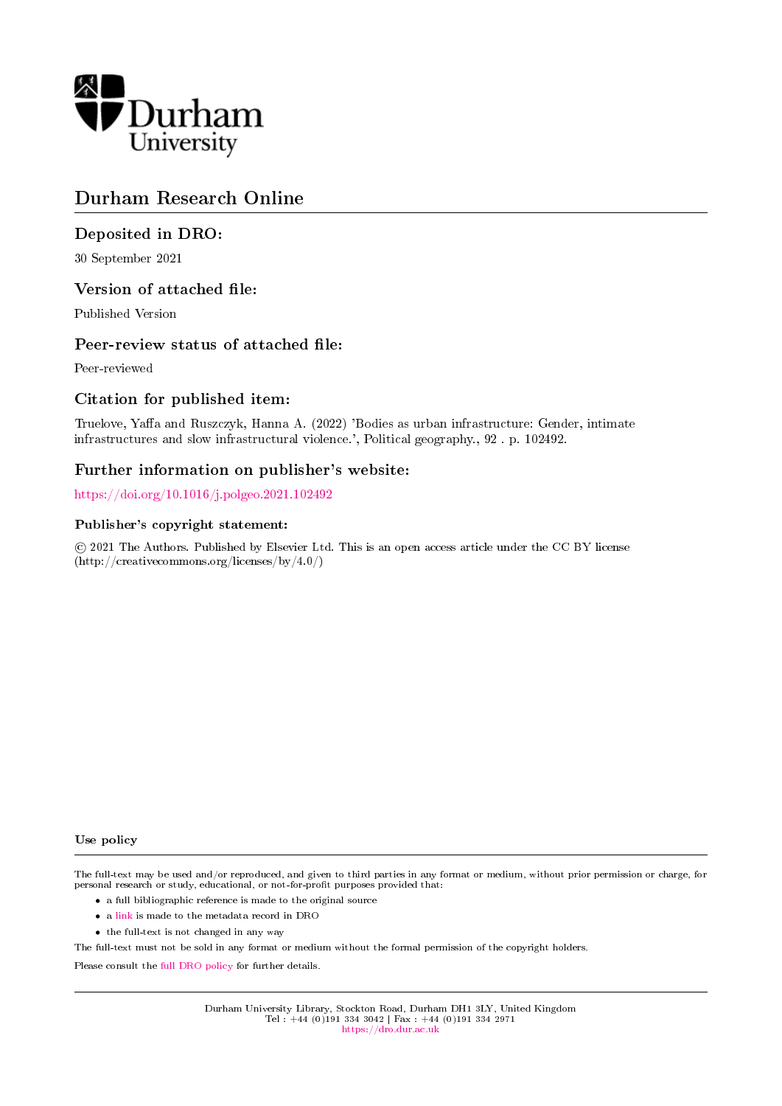

# Durham Research Online

# Deposited in DRO:

30 September 2021

# Version of attached file:

Published Version

# Peer-review status of attached file:

Peer-reviewed

# Citation for published item:

Truelove, Yaffa and Ruszczyk, Hanna A. (2022) 'Bodies as urban infrastructure: Gender, intimate infrastructures and slow infrastructural violence.', Political geography., 92 . p. 102492.

# Further information on publisher's website:

<https://doi.org/10.1016/j.polgeo.2021.102492>

# Publisher's copyright statement:

 c 2021 The Authors. Published by Elsevier Ltd. This is an open access article under the CC BY license (http://creativecommons.org/licenses/by/4.0/)

## Use policy

The full-text may be used and/or reproduced, and given to third parties in any format or medium, without prior permission or charge, for personal research or study, educational, or not-for-profit purposes provided that:

- a full bibliographic reference is made to the original source
- a [link](http://dro.dur.ac.uk/33622/) is made to the metadata record in DRO
- the full-text is not changed in any way

The full-text must not be sold in any format or medium without the formal permission of the copyright holders.

Please consult the [full DRO policy](https://dro.dur.ac.uk/policies/usepolicy.pdf) for further details.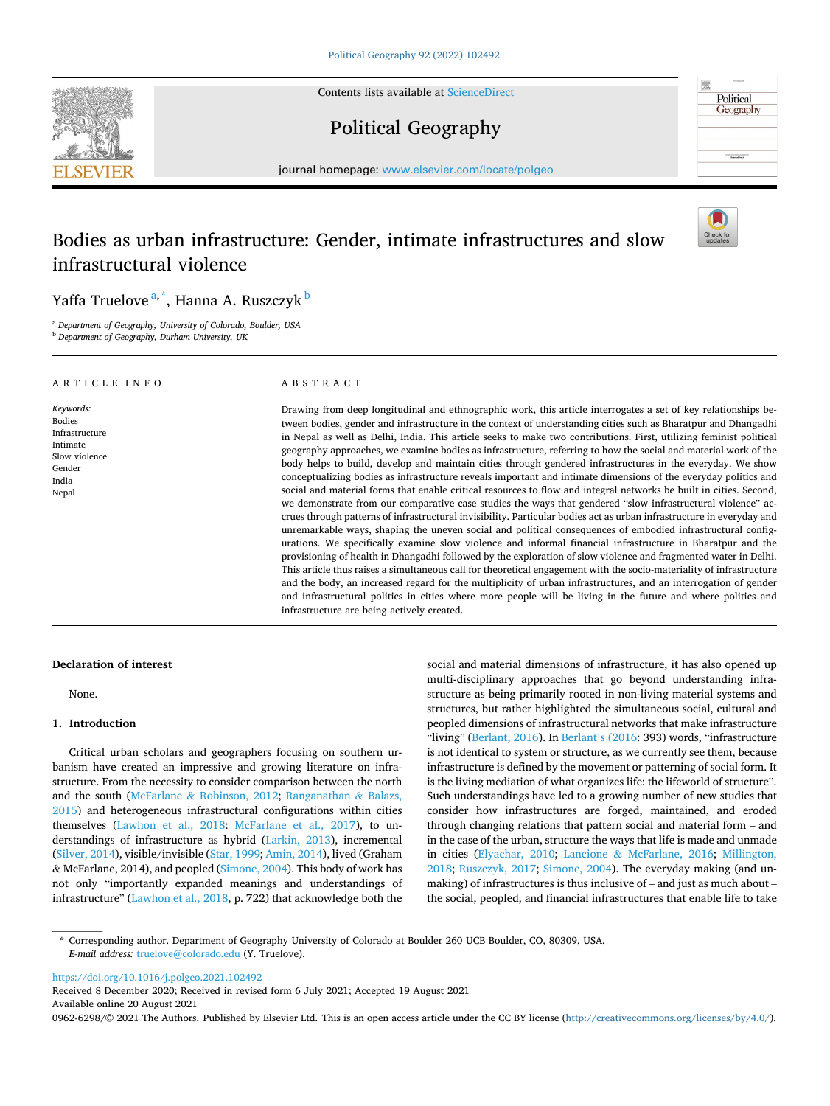Contents lists available at [ScienceDirect](www.sciencedirect.com/science/journal/09626298)



Political Geography



journal homepage: [www.elsevier.com/locate/polgeo](https://www.elsevier.com/locate/polgeo)

# Bodies as urban infrastructure: Gender, intimate infrastructures and slow infrastructural violence



Yaffa Truelove<sup>a,\*</sup>, Hanna A. Ruszczyk <sup>b</sup>

<sup>a</sup> *Department of Geography, University of Colorado, Boulder, USA* 

<sup>b</sup> *Department of Geography, Durham University, UK* 

ARTICLE INFO

*Keywords:*  Bodies Infrastructure Intimate Slow violence Gender India Nepal

# ABSTRACT

Drawing from deep longitudinal and ethnographic work, this article interrogates a set of key relationships between bodies, gender and infrastructure in the context of understanding cities such as Bharatpur and Dhangadhi in Nepal as well as Delhi, India. This article seeks to make two contributions. First, utilizing feminist political geography approaches, we examine bodies as infrastructure, referring to how the social and material work of the body helps to build, develop and maintain cities through gendered infrastructures in the everyday. We show conceptualizing bodies as infrastructure reveals important and intimate dimensions of the everyday politics and social and material forms that enable critical resources to flow and integral networks be built in cities. Second, we demonstrate from our comparative case studies the ways that gendered "slow infrastructural violence" accrues through patterns of infrastructural invisibility. Particular bodies act as urban infrastructure in everyday and unremarkable ways, shaping the uneven social and political consequences of embodied infrastructural configurations. We specifically examine slow violence and informal financial infrastructure in Bharatpur and the provisioning of health in Dhangadhi followed by the exploration of slow violence and fragmented water in Delhi. This article thus raises a simultaneous call for theoretical engagement with the socio-materiality of infrastructure and the body, an increased regard for the multiplicity of urban infrastructures, and an interrogation of gender and infrastructural politics in cities where more people will be living in the future and where politics and infrastructure are being actively created.

### **Declaration of interest**

None.

## **1. Introduction**

Critical urban scholars and geographers focusing on southern urbanism have created an impressive and growing literature on infrastructure. From the necessity to consider comparison between the north and the south (McFarlane & [Robinson, 2012;](#page-9-0) [Ranganathan](#page-9-0) & Balazs, [2015\)](#page-9-0) and heterogeneous infrastructural configurations within cities themselves [\(Lawhon et al., 2018:](#page-9-0) [McFarlane et al., 2017](#page-9-0)), to understandings of infrastructure as hybrid ([Larkin, 2013](#page-9-0)), incremental ([Silver, 2014\)](#page-9-0), visible/invisible ([Star, 1999;](#page-10-0) [Amin, 2014\)](#page-9-0), lived (Graham & McFarlane, 2014), and peopled [\(Simone, 2004](#page-9-0)). This body of work has not only "importantly expanded meanings and understandings of infrastructure" [\(Lawhon et al., 2018,](#page-9-0) p. 722) that acknowledge both the social and material dimensions of infrastructure, it has also opened up multi-disciplinary approaches that go beyond understanding infrastructure as being primarily rooted in non-living material systems and structures, but rather highlighted the simultaneous social, cultural and peopled dimensions of infrastructural networks that make infrastructure "living" ([Berlant, 2016\)](#page-9-0). In Berlant'[s \(2016](#page-9-0): 393) words, "infrastructure is not identical to system or structure, as we currently see them, because infrastructure is defined by the movement or patterning of social form. It is the living mediation of what organizes life: the lifeworld of structure". Such understandings have led to a growing number of new studies that consider how infrastructures are forged, maintained, and eroded through changing relations that pattern social and material form – and in the case of the urban, structure the ways that life is made and unmade in cities [\(Elyachar, 2010](#page-9-0); Lancione & [McFarlane, 2016](#page-9-0); [Millington,](#page-9-0)  [2018;](#page-9-0) [Ruszczyk, 2017;](#page-9-0) [Simone, 2004](#page-9-0)). The everyday making (and unmaking) of infrastructures is thus inclusive of – and just as much about – the social, peopled, and financial infrastructures that enable life to take

\* Corresponding author. Department of Geography University of Colorado at Boulder 260 UCB Boulder, CO, 80309, USA. *E-mail address:* [truelove@colorado.edu](mailto:truelove@colorado.edu) (Y. Truelove).

<https://doi.org/10.1016/j.polgeo.2021.102492>

Available online 20 August 2021 Received 8 December 2020; Received in revised form 6 July 2021; Accepted 19 August 2021

0962-6298/© 2021 The Authors. Published by Elsevier Ltd. This is an open access article under the CC BY license [\(http://creativecommons.org/licenses/by/4.0/\)](http://creativecommons.org/licenses/by/4.0/).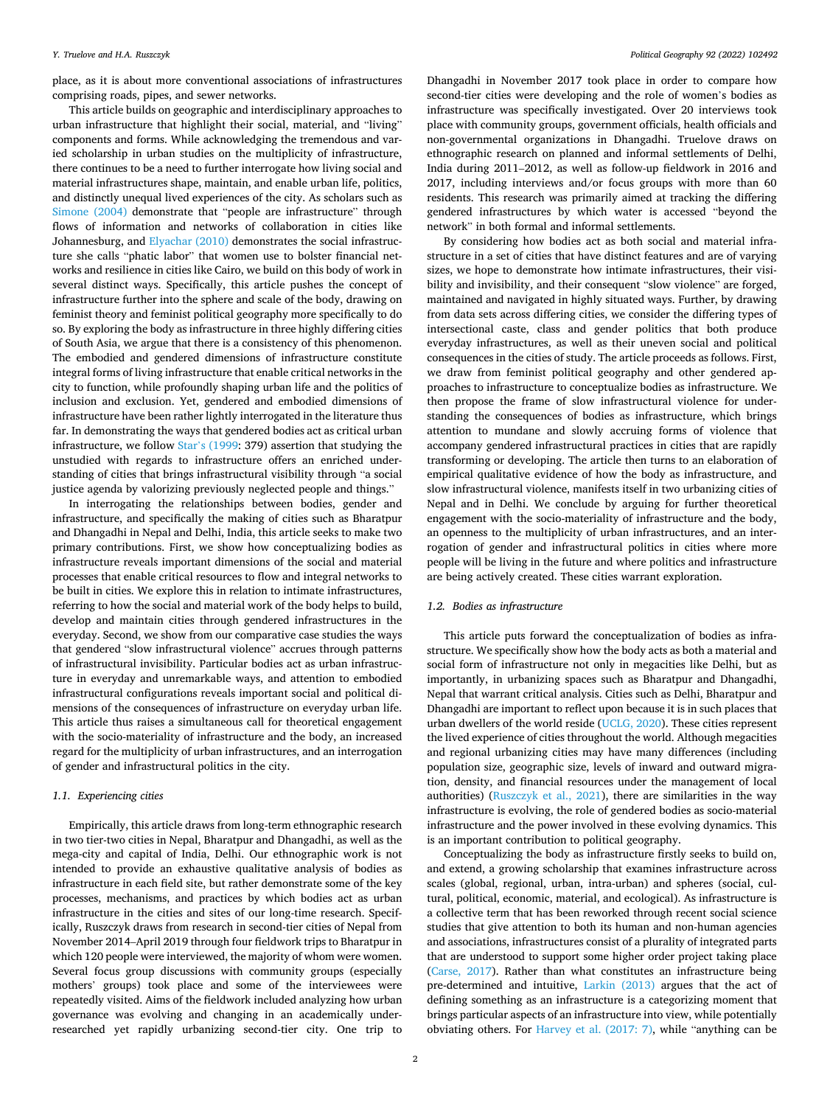place, as it is about more conventional associations of infrastructures comprising roads, pipes, and sewer networks.

This article builds on geographic and interdisciplinary approaches to urban infrastructure that highlight their social, material, and "living" components and forms. While acknowledging the tremendous and varied scholarship in urban studies on the multiplicity of infrastructure, there continues to be a need to further interrogate how living social and material infrastructures shape, maintain, and enable urban life, politics, and distinctly unequal lived experiences of the city. As scholars such as [Simone \(2004\)](#page-9-0) demonstrate that "people are infrastructure" through flows of information and networks of collaboration in cities like Johannesburg, and [Elyachar \(2010\)](#page-9-0) demonstrates the social infrastructure she calls "phatic labor" that women use to bolster financial networks and resilience in cities like Cairo, we build on this body of work in several distinct ways. Specifically, this article pushes the concept of infrastructure further into the sphere and scale of the body, drawing on feminist theory and feminist political geography more specifically to do so. By exploring the body as infrastructure in three highly differing cities of South Asia, we argue that there is a consistency of this phenomenon. The embodied and gendered dimensions of infrastructure constitute integral forms of living infrastructure that enable critical networks in the city to function, while profoundly shaping urban life and the politics of inclusion and exclusion. Yet, gendered and embodied dimensions of infrastructure have been rather lightly interrogated in the literature thus far. In demonstrating the ways that gendered bodies act as critical urban infrastructure, we follow Star'[s \(1999:](#page-10-0) 379) assertion that studying the unstudied with regards to infrastructure offers an enriched understanding of cities that brings infrastructural visibility through "a social justice agenda by valorizing previously neglected people and things."

In interrogating the relationships between bodies, gender and infrastructure, and specifically the making of cities such as Bharatpur and Dhangadhi in Nepal and Delhi, India, this article seeks to make two primary contributions. First, we show how conceptualizing bodies as infrastructure reveals important dimensions of the social and material processes that enable critical resources to flow and integral networks to be built in cities. We explore this in relation to intimate infrastructures, referring to how the social and material work of the body helps to build, develop and maintain cities through gendered infrastructures in the everyday. Second, we show from our comparative case studies the ways that gendered "slow infrastructural violence" accrues through patterns of infrastructural invisibility. Particular bodies act as urban infrastructure in everyday and unremarkable ways, and attention to embodied infrastructural configurations reveals important social and political dimensions of the consequences of infrastructure on everyday urban life. This article thus raises a simultaneous call for theoretical engagement with the socio-materiality of infrastructure and the body, an increased regard for the multiplicity of urban infrastructures, and an interrogation of gender and infrastructural politics in the city.

### *1.1. Experiencing cities*

Empirically, this article draws from long-term ethnographic research in two tier-two cities in Nepal, Bharatpur and Dhangadhi, as well as the mega-city and capital of India, Delhi. Our ethnographic work is not intended to provide an exhaustive qualitative analysis of bodies as infrastructure in each field site, but rather demonstrate some of the key processes, mechanisms, and practices by which bodies act as urban infrastructure in the cities and sites of our long-time research. Specifically, Ruszczyk draws from research in second-tier cities of Nepal from November 2014–April 2019 through four fieldwork trips to Bharatpur in which 120 people were interviewed, the majority of whom were women. Several focus group discussions with community groups (especially mothers' groups) took place and some of the interviewees were repeatedly visited. Aims of the fieldwork included analyzing how urban governance was evolving and changing in an academically underresearched yet rapidly urbanizing second-tier city. One trip to

Dhangadhi in November 2017 took place in order to compare how second-tier cities were developing and the role of women's bodies as infrastructure was specifically investigated. Over 20 interviews took place with community groups, government officials, health officials and non-governmental organizations in Dhangadhi. Truelove draws on ethnographic research on planned and informal settlements of Delhi, India during 2011–2012, as well as follow-up fieldwork in 2016 and 2017, including interviews and/or focus groups with more than 60 residents. This research was primarily aimed at tracking the differing gendered infrastructures by which water is accessed "beyond the network" in both formal and informal settlements.

By considering how bodies act as both social and material infrastructure in a set of cities that have distinct features and are of varying sizes, we hope to demonstrate how intimate infrastructures, their visibility and invisibility, and their consequent "slow violence" are forged, maintained and navigated in highly situated ways. Further, by drawing from data sets across differing cities, we consider the differing types of intersectional caste, class and gender politics that both produce everyday infrastructures, as well as their uneven social and political consequences in the cities of study. The article proceeds as follows. First, we draw from feminist political geography and other gendered approaches to infrastructure to conceptualize bodies as infrastructure. We then propose the frame of slow infrastructural violence for understanding the consequences of bodies as infrastructure, which brings attention to mundane and slowly accruing forms of violence that accompany gendered infrastructural practices in cities that are rapidly transforming or developing. The article then turns to an elaboration of empirical qualitative evidence of how the body as infrastructure, and slow infrastructural violence, manifests itself in two urbanizing cities of Nepal and in Delhi. We conclude by arguing for further theoretical engagement with the socio-materiality of infrastructure and the body, an openness to the multiplicity of urban infrastructures, and an interrogation of gender and infrastructural politics in cities where more people will be living in the future and where politics and infrastructure are being actively created. These cities warrant exploration.

#### *1.2. Bodies as infrastructure*

This article puts forward the conceptualization of bodies as infrastructure. We specifically show how the body acts as both a material and social form of infrastructure not only in megacities like Delhi, but as importantly, in urbanizing spaces such as Bharatpur and Dhangadhi, Nepal that warrant critical analysis. Cities such as Delhi, Bharatpur and Dhangadhi are important to reflect upon because it is in such places that urban dwellers of the world reside ([UCLG, 2020\)](#page-10-0). These cities represent the lived experience of cities throughout the world. Although megacities and regional urbanizing cities may have many differences (including population size, geographic size, levels of inward and outward migration, density, and financial resources under the management of local authorities) ([Ruszczyk et al., 2021\)](#page-9-0), there are similarities in the way infrastructure is evolving, the role of gendered bodies as socio-material infrastructure and the power involved in these evolving dynamics. This is an important contribution to political geography.

Conceptualizing the body as infrastructure firstly seeks to build on, and extend, a growing scholarship that examines infrastructure across scales (global, regional, urban, intra-urban) and spheres (social, cultural, political, economic, material, and ecological). As infrastructure is a collective term that has been reworked through recent social science studies that give attention to both its human and non-human agencies and associations, infrastructures consist of a plurality of integrated parts that are understood to support some higher order project taking place ([Carse, 2017](#page-9-0)). Rather than what constitutes an infrastructure being pre-determined and intuitive, [Larkin \(2013\)](#page-9-0) argues that the act of defining something as an infrastructure is a categorizing moment that brings particular aspects of an infrastructure into view, while potentially obviating others. For [Harvey et al. \(2017: 7\)](#page-9-0), while "anything can be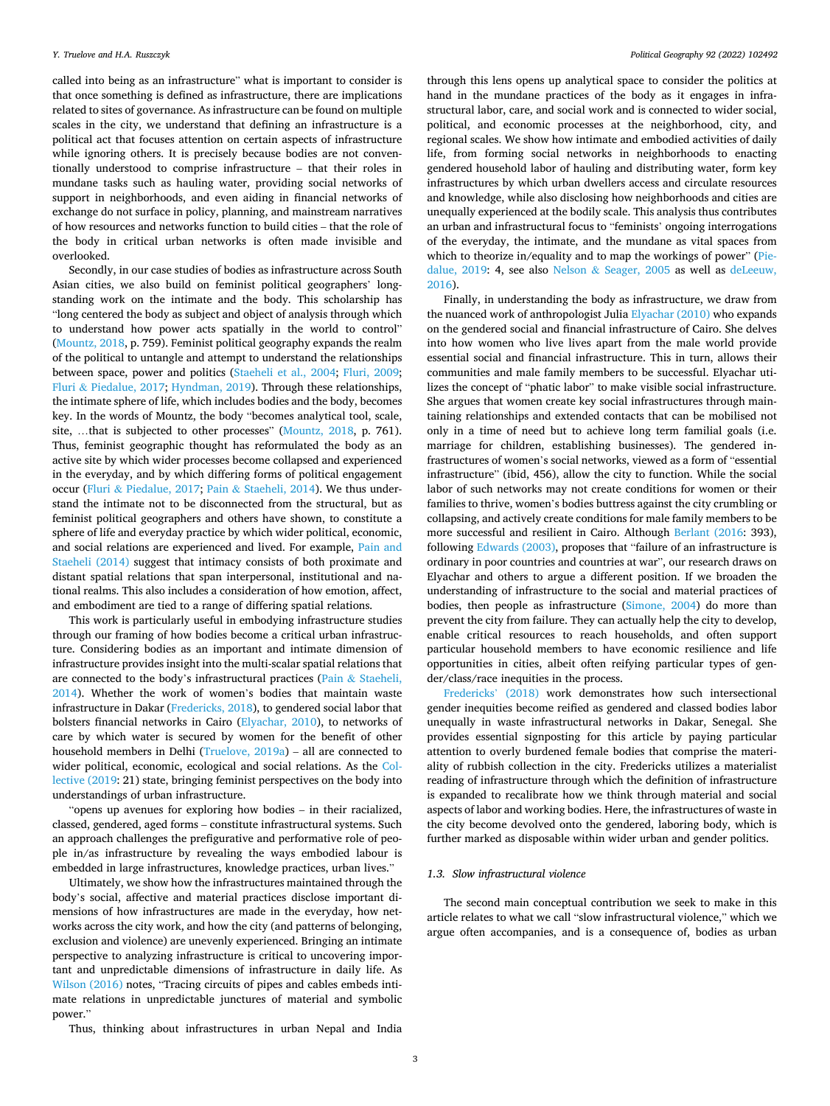called into being as an infrastructure" what is important to consider is that once something is defined as infrastructure, there are implications related to sites of governance. As infrastructure can be found on multiple scales in the city, we understand that defining an infrastructure is a political act that focuses attention on certain aspects of infrastructure while ignoring others. It is precisely because bodies are not conventionally understood to comprise infrastructure – that their roles in mundane tasks such as hauling water, providing social networks of support in neighborhoods, and even aiding in financial networks of exchange do not surface in policy, planning, and mainstream narratives of how resources and networks function to build cities – that the role of the body in critical urban networks is often made invisible and overlooked.

Secondly, in our case studies of bodies as infrastructure across South Asian cities, we also build on feminist political geographers' longstanding work on the intimate and the body. This scholarship has "long centered the body as subject and object of analysis through which to understand how power acts spatially in the world to control" ([Mountz, 2018](#page-9-0), p. 759). Feminist political geography expands the realm of the political to untangle and attempt to understand the relationships between space, power and politics [\(Staeheli et al., 2004](#page-9-0); [Fluri, 2009](#page-9-0); Fluri & [Piedalue, 2017](#page-9-0); [Hyndman, 2019](#page-9-0)). Through these relationships, the intimate sphere of life, which includes bodies and the body, becomes key. In the words of Mountz, the body "becomes analytical tool, scale, site, ...that is subjected to other processes" [\(Mountz, 2018,](#page-9-0) p. 761). Thus, feminist geographic thought has reformulated the body as an active site by which wider processes become collapsed and experienced in the everyday, and by which differing forms of political engagement occur (Fluri & [Piedalue, 2017;](#page-9-0) Pain & [Staeheli, 2014](#page-9-0)). We thus understand the intimate not to be disconnected from the structural, but as feminist political geographers and others have shown, to constitute a sphere of life and everyday practice by which wider political, economic, and social relations are experienced and lived. For example, [Pain and](#page-9-0)  [Staeheli \(2014\)](#page-9-0) suggest that intimacy consists of both proximate and distant spatial relations that span interpersonal, institutional and national realms. This also includes a consideration of how emotion, affect, and embodiment are tied to a range of differing spatial relations.

This work is particularly useful in embodying infrastructure studies through our framing of how bodies become a critical urban infrastructure. Considering bodies as an important and intimate dimension of infrastructure provides insight into the multi-scalar spatial relations that are connected to the body's infrastructural practices (Pain & [Staeheli,](#page-9-0)  [2014\)](#page-9-0). Whether the work of women's bodies that maintain waste infrastructure in Dakar ([Fredericks, 2018](#page-9-0)), to gendered social labor that bolsters financial networks in Cairo [\(Elyachar, 2010](#page-9-0)), to networks of care by which water is secured by women for the benefit of other household members in Delhi [\(Truelove, 2019a\)](#page-10-0) – all are connected to wider political, economic, ecological and social relations. As the [Col](#page-9-0)[lective \(2019:](#page-9-0) 21) state, bringing feminist perspectives on the body into understandings of urban infrastructure.

"opens up avenues for exploring how bodies – in their racialized, classed, gendered, aged forms – constitute infrastructural systems. Such an approach challenges the prefigurative and performative role of people in/as infrastructure by revealing the ways embodied labour is embedded in large infrastructures, knowledge practices, urban lives."

Ultimately, we show how the infrastructures maintained through the body's social, affective and material practices disclose important dimensions of how infrastructures are made in the everyday, how networks across the city work, and how the city (and patterns of belonging, exclusion and violence) are unevenly experienced. Bringing an intimate perspective to analyzing infrastructure is critical to uncovering important and unpredictable dimensions of infrastructure in daily life. As [Wilson \(2016\)](#page-10-0) notes, "Tracing circuits of pipes and cables embeds intimate relations in unpredictable junctures of material and symbolic power."

through this lens opens up analytical space to consider the politics at hand in the mundane practices of the body as it engages in infrastructural labor, care, and social work and is connected to wider social, political, and economic processes at the neighborhood, city, and regional scales. We show how intimate and embodied activities of daily life, from forming social networks in neighborhoods to enacting gendered household labor of hauling and distributing water, form key infrastructures by which urban dwellers access and circulate resources and knowledge, while also disclosing how neighborhoods and cities are unequally experienced at the bodily scale. This analysis thus contributes an urban and infrastructural focus to "feminists' ongoing interrogations of the everyday, the intimate, and the mundane as vital spaces from which to theorize in/equality and to map the workings of power" [\(Pie](#page-9-0)[dalue, 2019:](#page-9-0) 4, see also Nelson & [Seager, 2005](#page-9-0) as well as [deLeeuw,](#page-9-0)  [2016\)](#page-9-0).

Finally, in understanding the body as infrastructure, we draw from the nuanced work of anthropologist Julia [Elyachar \(2010\)](#page-9-0) who expands on the gendered social and financial infrastructure of Cairo. She delves into how women who live lives apart from the male world provide essential social and financial infrastructure. This in turn, allows their communities and male family members to be successful. Elyachar utilizes the concept of "phatic labor" to make visible social infrastructure. She argues that women create key social infrastructures through maintaining relationships and extended contacts that can be mobilised not only in a time of need but to achieve long term familial goals (i.e. marriage for children, establishing businesses). The gendered infrastructures of women's social networks, viewed as a form of "essential infrastructure" (ibid, 456), allow the city to function. While the social labor of such networks may not create conditions for women or their families to thrive, women's bodies buttress against the city crumbling or collapsing, and actively create conditions for male family members to be more successful and resilient in Cairo. Although [Berlant \(2016:](#page-9-0) 393), following [Edwards \(2003\),](#page-9-0) proposes that "failure of an infrastructure is ordinary in poor countries and countries at war", our research draws on Elyachar and others to argue a different position. If we broaden the understanding of infrastructure to the social and material practices of bodies, then people as infrastructure [\(Simone, 2004\)](#page-9-0) do more than prevent the city from failure. They can actually help the city to develop, enable critical resources to reach households, and often support particular household members to have economic resilience and life opportunities in cities, albeit often reifying particular types of gender/class/race inequities in the process.

[Fredericks](#page-9-0)' (2018) work demonstrates how such intersectional gender inequities become reified as gendered and classed bodies labor unequally in waste infrastructural networks in Dakar, Senegal. She provides essential signposting for this article by paying particular attention to overly burdened female bodies that comprise the materiality of rubbish collection in the city. Fredericks utilizes a materialist reading of infrastructure through which the definition of infrastructure is expanded to recalibrate how we think through material and social aspects of labor and working bodies. Here, the infrastructures of waste in the city become devolved onto the gendered, laboring body, which is further marked as disposable within wider urban and gender politics.

### *1.3. Slow infrastructural violence*

The second main conceptual contribution we seek to make in this article relates to what we call "slow infrastructural violence," which we argue often accompanies, and is a consequence of, bodies as urban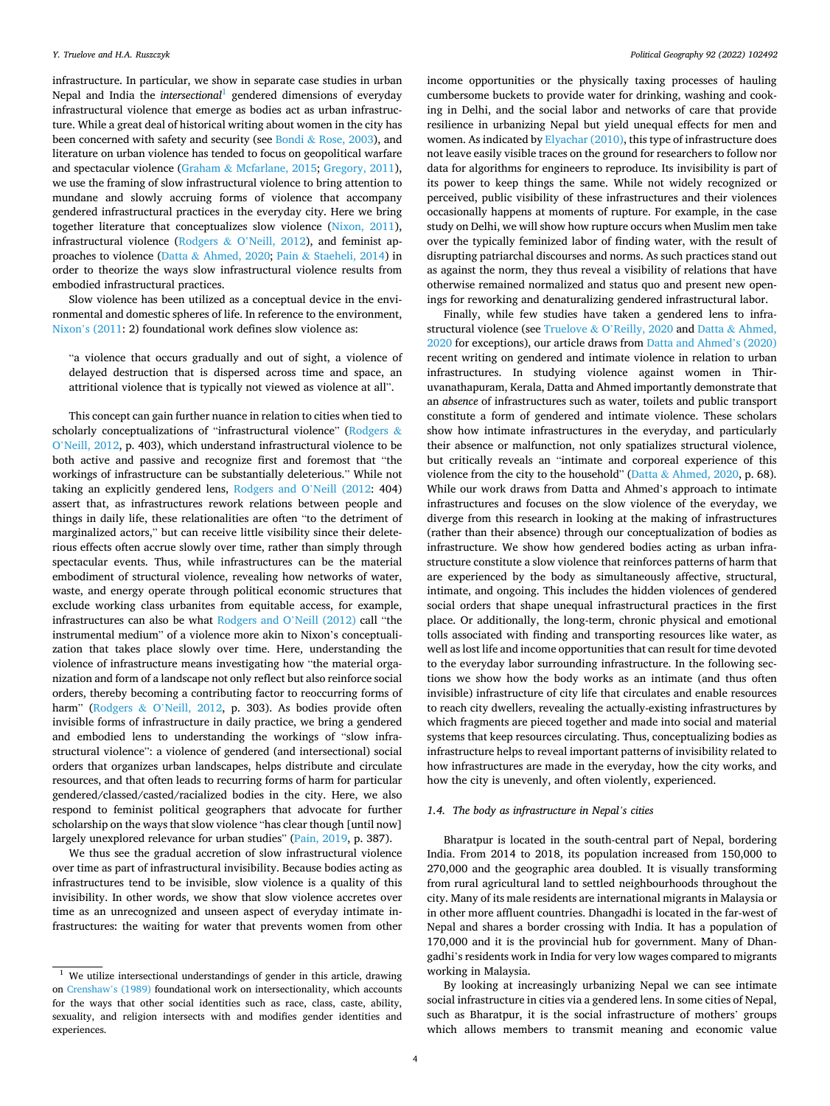infrastructure. In particular, we show in separate case studies in urban Nepal and India the *intersectional*<sup>1</sup> gendered dimensions of everyday infrastructural violence that emerge as bodies act as urban infrastructure. While a great deal of historical writing about women in the city has been concerned with safety and security (see Bondi & [Rose, 2003](#page-9-0)), and literature on urban violence has tended to focus on geopolitical warfare and spectacular violence (Graham & [Mcfarlane, 2015; Gregory, 2011](#page-9-0)), we use the framing of slow infrastructural violence to bring attention to mundane and slowly accruing forms of violence that accompany gendered infrastructural practices in the everyday city. Here we bring together literature that conceptualizes slow violence [\(Nixon, 2011](#page-9-0)), infrastructural violence (Rodgers & O'[Neill, 2012\)](#page-9-0), and feminist approaches to violence (Datta & [Ahmed, 2020;](#page-9-0) Pain & [Staeheli, 2014](#page-9-0)) in order to theorize the ways slow infrastructural violence results from embodied infrastructural practices.

Slow violence has been utilized as a conceptual device in the environmental and domestic spheres of life. In reference to the environment, Nixon'[s \(2011:](#page-9-0) 2) foundational work defines slow violence as:

"a violence that occurs gradually and out of sight, a violence of delayed destruction that is dispersed across time and space, an attritional violence that is typically not viewed as violence at all".

This concept can gain further nuance in relation to cities when tied to scholarly conceptualizations of "infrastructural violence" [\(Rodgers](#page-9-0) & O'[Neill, 2012](#page-9-0), p. 403), which understand infrastructural violence to be both active and passive and recognize first and foremost that "the workings of infrastructure can be substantially deleterious." While not taking an explicitly gendered lens, [Rodgers and O](#page-9-0)'Neill (2012: 404) assert that, as infrastructures rework relations between people and things in daily life, these relationalities are often "to the detriment of marginalized actors," but can receive little visibility since their deleterious effects often accrue slowly over time, rather than simply through spectacular events. Thus, while infrastructures can be the material embodiment of structural violence, revealing how networks of water, waste, and energy operate through political economic structures that exclude working class urbanites from equitable access, for example, infrastructures can also be what [Rodgers and O](#page-9-0)'Neill (2012) call "the instrumental medium" of a violence more akin to Nixon's conceptualization that takes place slowly over time. Here, understanding the violence of infrastructure means investigating how "the material organization and form of a landscape not only reflect but also reinforce social orders, thereby becoming a contributing factor to reoccurring forms of harm" (Rodgers & O'[Neill, 2012,](#page-9-0) p. 303). As bodies provide often invisible forms of infrastructure in daily practice, we bring a gendered and embodied lens to understanding the workings of "slow infrastructural violence": a violence of gendered (and intersectional) social orders that organizes urban landscapes, helps distribute and circulate resources, and that often leads to recurring forms of harm for particular gendered/classed/casted/racialized bodies in the city. Here, we also respond to feminist political geographers that advocate for further scholarship on the ways that slow violence "has clear though [until now] largely unexplored relevance for urban studies" [\(Pain, 2019](#page-9-0), p. 387).

We thus see the gradual accretion of slow infrastructural violence over time as part of infrastructural invisibility. Because bodies acting as infrastructures tend to be invisible, slow violence is a quality of this invisibility. In other words, we show that slow violence accretes over time as an unrecognized and unseen aspect of everyday intimate infrastructures: the waiting for water that prevents women from other

income opportunities or the physically taxing processes of hauling cumbersome buckets to provide water for drinking, washing and cooking in Delhi, and the social labor and networks of care that provide resilience in urbanizing Nepal but yield unequal effects for men and women. As indicated by [Elyachar \(2010\),](#page-9-0) this type of infrastructure does not leave easily visible traces on the ground for researchers to follow nor data for algorithms for engineers to reproduce. Its invisibility is part of its power to keep things the same. While not widely recognized or perceived, public visibility of these infrastructures and their violences occasionally happens at moments of rupture. For example, in the case study on Delhi, we will show how rupture occurs when Muslim men take over the typically feminized labor of finding water, with the result of disrupting patriarchal discourses and norms. As such practices stand out as against the norm, they thus reveal a visibility of relations that have otherwise remained normalized and status quo and present new openings for reworking and denaturalizing gendered infrastructural labor.

Finally, while few studies have taken a gendered lens to infrastructural violence (see Truelove & O'[Reilly, 2020](#page-10-0) and Datta & [Ahmed,](#page-9-0)  [2020](#page-9-0) for exceptions), our article draws from [Datta and Ahmed](#page-9-0)'s (2020) recent writing on gendered and intimate violence in relation to urban infrastructures. In studying violence against women in Thiruvanathapuram, Kerala, Datta and Ahmed importantly demonstrate that an *absence* of infrastructures such as water, toilets and public transport constitute a form of gendered and intimate violence. These scholars show how intimate infrastructures in the everyday, and particularly their absence or malfunction, not only spatializes structural violence, but critically reveals an "intimate and corporeal experience of this violence from the city to the household" (Datta & [Ahmed, 2020](#page-9-0), p. 68). While our work draws from Datta and Ahmed's approach to intimate infrastructures and focuses on the slow violence of the everyday, we diverge from this research in looking at the making of infrastructures (rather than their absence) through our conceptualization of bodies as infrastructure. We show how gendered bodies acting as urban infrastructure constitute a slow violence that reinforces patterns of harm that are experienced by the body as simultaneously affective, structural, intimate, and ongoing. This includes the hidden violences of gendered social orders that shape unequal infrastructural practices in the first place. Or additionally, the long-term, chronic physical and emotional tolls associated with finding and transporting resources like water, as well as lost life and income opportunities that can result for time devoted to the everyday labor surrounding infrastructure. In the following sections we show how the body works as an intimate (and thus often invisible) infrastructure of city life that circulates and enable resources to reach city dwellers, revealing the actually-existing infrastructures by which fragments are pieced together and made into social and material systems that keep resources circulating. Thus, conceptualizing bodies as infrastructure helps to reveal important patterns of invisibility related to how infrastructures are made in the everyday, how the city works, and how the city is unevenly, and often violently, experienced.

### *1.4. The body as infrastructure in Nepal's cities*

Bharatpur is located in the south-central part of Nepal, bordering India. From 2014 to 2018, its population increased from 150,000 to 270,000 and the geographic area doubled. It is visually transforming from rural agricultural land to settled neighbourhoods throughout the city. Many of its male residents are international migrants in Malaysia or in other more affluent countries. Dhangadhi is located in the far-west of Nepal and shares a border crossing with India. It has a population of 170,000 and it is the provincial hub for government. Many of Dhangadhi's residents work in India for very low wages compared to migrants working in Malaysia.

By looking at increasingly urbanizing Nepal we can see intimate social infrastructure in cities via a gendered lens. In some cities of Nepal, such as Bharatpur, it is the social infrastructure of mothers' groups which allows members to transmit meaning and economic value

 $1$  We utilize intersectional understandings of gender in this article, drawing on [Crenshaw](#page-9-0)'s (1989) foundational work on intersectionality, which accounts for the ways that other social identities such as race, class, caste, ability, sexuality, and religion intersects with and modifies gender identities and experiences.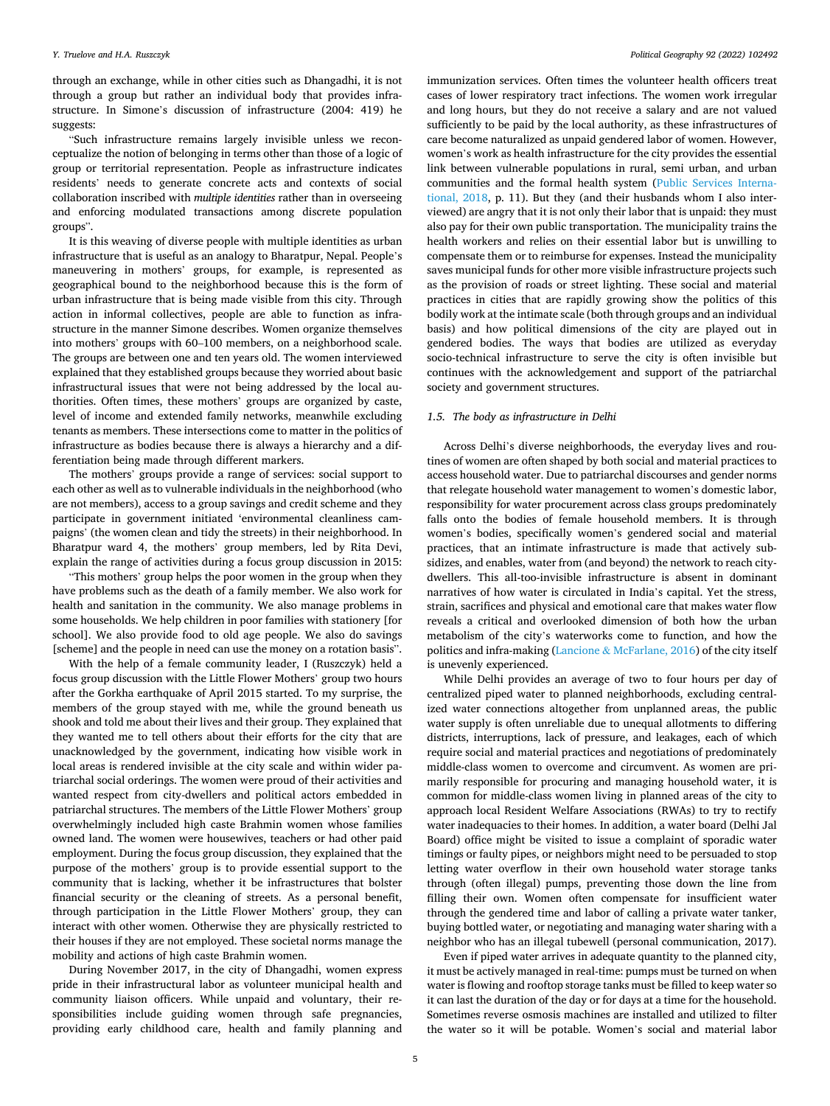through an exchange, while in other cities such as Dhangadhi, it is not through a group but rather an individual body that provides infrastructure. In Simone's discussion of infrastructure (2004: 419) he suggests:

"Such infrastructure remains largely invisible unless we reconceptualize the notion of belonging in terms other than those of a logic of group or territorial representation. People as infrastructure indicates residents' needs to generate concrete acts and contexts of social collaboration inscribed with *multiple identities* rather than in overseeing and enforcing modulated transactions among discrete population groups".

It is this weaving of diverse people with multiple identities as urban infrastructure that is useful as an analogy to Bharatpur, Nepal. People's maneuvering in mothers' groups, for example, is represented as geographical bound to the neighborhood because this is the form of urban infrastructure that is being made visible from this city. Through action in informal collectives, people are able to function as infrastructure in the manner Simone describes. Women organize themselves into mothers' groups with 60–100 members, on a neighborhood scale. The groups are between one and ten years old. The women interviewed explained that they established groups because they worried about basic infrastructural issues that were not being addressed by the local authorities. Often times, these mothers' groups are organized by caste, level of income and extended family networks, meanwhile excluding tenants as members. These intersections come to matter in the politics of infrastructure as bodies because there is always a hierarchy and a differentiation being made through different markers.

The mothers' groups provide a range of services: social support to each other as well as to vulnerable individuals in the neighborhood (who are not members), access to a group savings and credit scheme and they participate in government initiated 'environmental cleanliness campaigns' (the women clean and tidy the streets) in their neighborhood. In Bharatpur ward 4, the mothers' group members, led by Rita Devi, explain the range of activities during a focus group discussion in 2015:

"This mothers' group helps the poor women in the group when they have problems such as the death of a family member. We also work for health and sanitation in the community. We also manage problems in some households. We help children in poor families with stationery [for school]. We also provide food to old age people. We also do savings [scheme] and the people in need can use the money on a rotation basis".

With the help of a female community leader, I (Ruszczyk) held a focus group discussion with the Little Flower Mothers' group two hours after the Gorkha earthquake of April 2015 started. To my surprise, the members of the group stayed with me, while the ground beneath us shook and told me about their lives and their group. They explained that they wanted me to tell others about their efforts for the city that are unacknowledged by the government, indicating how visible work in local areas is rendered invisible at the city scale and within wider patriarchal social orderings. The women were proud of their activities and wanted respect from city-dwellers and political actors embedded in patriarchal structures. The members of the Little Flower Mothers' group overwhelmingly included high caste Brahmin women whose families owned land. The women were housewives, teachers or had other paid employment. During the focus group discussion, they explained that the purpose of the mothers' group is to provide essential support to the community that is lacking, whether it be infrastructures that bolster financial security or the cleaning of streets. As a personal benefit, through participation in the Little Flower Mothers' group, they can interact with other women. Otherwise they are physically restricted to their houses if they are not employed. These societal norms manage the mobility and actions of high caste Brahmin women.

During November 2017, in the city of Dhangadhi, women express pride in their infrastructural labor as volunteer municipal health and community liaison officers. While unpaid and voluntary, their responsibilities include guiding women through safe pregnancies, providing early childhood care, health and family planning and

immunization services. Often times the volunteer health officers treat cases of lower respiratory tract infections. The women work irregular and long hours, but they do not receive a salary and are not valued sufficiently to be paid by the local authority, as these infrastructures of care become naturalized as unpaid gendered labor of women. However, women's work as health infrastructure for the city provides the essential link between vulnerable populations in rural, semi urban, and urban communities and the formal health system [\(Public Services Interna](#page-9-0)[tional, 2018](#page-9-0), p. 11). But they (and their husbands whom I also interviewed) are angry that it is not only their labor that is unpaid: they must also pay for their own public transportation. The municipality trains the health workers and relies on their essential labor but is unwilling to compensate them or to reimburse for expenses. Instead the municipality saves municipal funds for other more visible infrastructure projects such as the provision of roads or street lighting. These social and material practices in cities that are rapidly growing show the politics of this bodily work at the intimate scale (both through groups and an individual basis) and how political dimensions of the city are played out in gendered bodies. The ways that bodies are utilized as everyday socio-technical infrastructure to serve the city is often invisible but continues with the acknowledgement and support of the patriarchal society and government structures.

#### *1.5. The body as infrastructure in Delhi*

Across Delhi's diverse neighborhoods, the everyday lives and routines of women are often shaped by both social and material practices to access household water. Due to patriarchal discourses and gender norms that relegate household water management to women's domestic labor, responsibility for water procurement across class groups predominately falls onto the bodies of female household members. It is through women's bodies, specifically women's gendered social and material practices, that an intimate infrastructure is made that actively subsidizes, and enables, water from (and beyond) the network to reach citydwellers. This all-too-invisible infrastructure is absent in dominant narratives of how water is circulated in India's capital. Yet the stress, strain, sacrifices and physical and emotional care that makes water flow reveals a critical and overlooked dimension of both how the urban metabolism of the city's waterworks come to function, and how the politics and infra-making (Lancione & [McFarlane, 2016](#page-9-0)) of the city itself is unevenly experienced.

While Delhi provides an average of two to four hours per day of centralized piped water to planned neighborhoods, excluding centralized water connections altogether from unplanned areas, the public water supply is often unreliable due to unequal allotments to differing districts, interruptions, lack of pressure, and leakages, each of which require social and material practices and negotiations of predominately middle-class women to overcome and circumvent. As women are primarily responsible for procuring and managing household water, it is common for middle-class women living in planned areas of the city to approach local Resident Welfare Associations (RWAs) to try to rectify water inadequacies to their homes. In addition, a water board (Delhi Jal Board) office might be visited to issue a complaint of sporadic water timings or faulty pipes, or neighbors might need to be persuaded to stop letting water overflow in their own household water storage tanks through (often illegal) pumps, preventing those down the line from filling their own. Women often compensate for insufficient water through the gendered time and labor of calling a private water tanker, buying bottled water, or negotiating and managing water sharing with a neighbor who has an illegal tubewell (personal communication, 2017).

Even if piped water arrives in adequate quantity to the planned city, it must be actively managed in real-time: pumps must be turned on when water is flowing and rooftop storage tanks must be filled to keep water so it can last the duration of the day or for days at a time for the household. Sometimes reverse osmosis machines are installed and utilized to filter the water so it will be potable. Women's social and material labor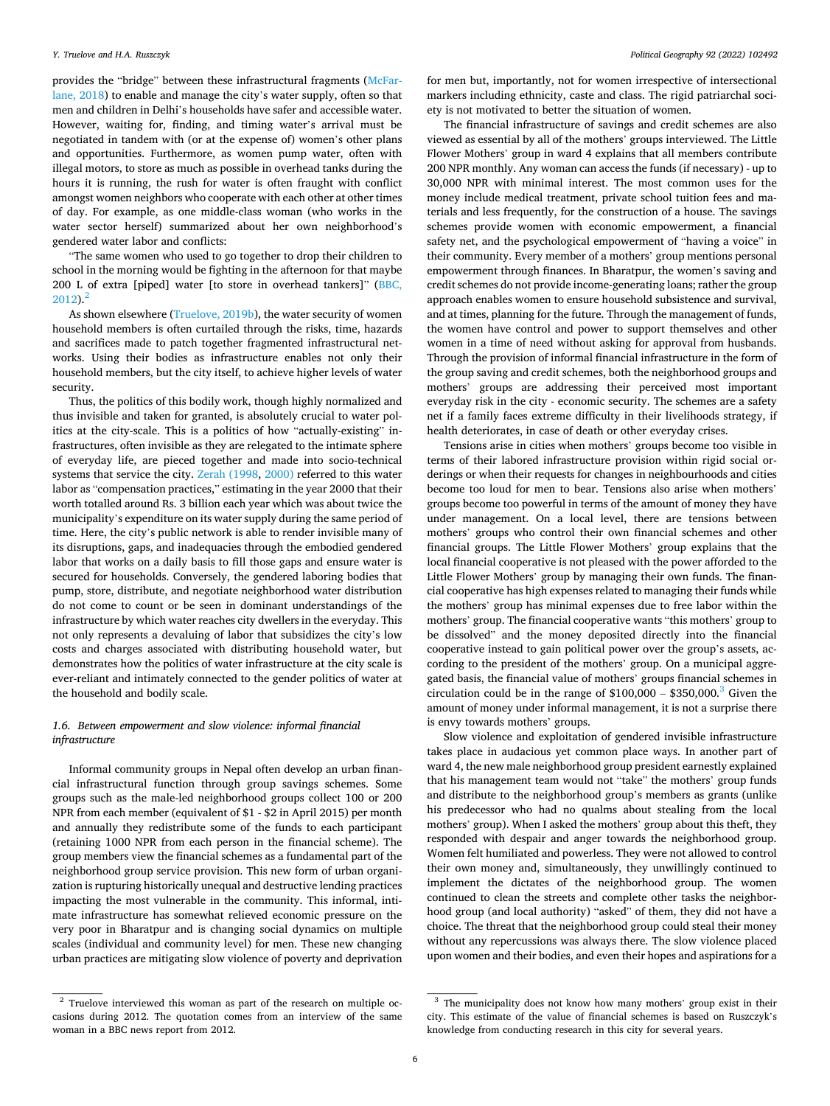provides the "bridge" between these infrastructural fragments ([McFar](#page-9-0)[lane, 2018\)](#page-9-0) to enable and manage the city's water supply, often so that men and children in Delhi's households have safer and accessible water. However, waiting for, finding, and timing water's arrival must be negotiated in tandem with (or at the expense of) women's other plans and opportunities. Furthermore, as women pump water, often with illegal motors, to store as much as possible in overhead tanks during the hours it is running, the rush for water is often fraught with conflict amongst women neighbors who cooperate with each other at other times of day. For example, as one middle-class woman (who works in the water sector herself) summarized about her own neighborhood's gendered water labor and conflicts:

"The same women who used to go together to drop their children to school in the morning would be fighting in the afternoon for that maybe 200 L of extra [piped] water [to store in overhead tankers]" ([BBC,](#page-9-0)   $2012$ ).<sup>2</sup>

As shown elsewhere ([Truelove, 2019b](#page-10-0)), the water security of women household members is often curtailed through the risks, time, hazards and sacrifices made to patch together fragmented infrastructural networks. Using their bodies as infrastructure enables not only their household members, but the city itself, to achieve higher levels of water security.

Thus, the politics of this bodily work, though highly normalized and thus invisible and taken for granted, is absolutely crucial to water politics at the city-scale. This is a politics of how "actually-existing" infrastructures, often invisible as they are relegated to the intimate sphere of everyday life, are pieced together and made into socio-technical systems that service the city. [Zerah \(1998](#page-10-0), [2000\)](#page-10-0) referred to this water labor as "compensation practices," estimating in the year 2000 that their worth totalled around Rs. 3 billion each year which was about twice the municipality's expenditure on its water supply during the same period of time. Here, the city's public network is able to render invisible many of its disruptions, gaps, and inadequacies through the embodied gendered labor that works on a daily basis to fill those gaps and ensure water is secured for households. Conversely, the gendered laboring bodies that pump, store, distribute, and negotiate neighborhood water distribution do not come to count or be seen in dominant understandings of the infrastructure by which water reaches city dwellers in the everyday. This not only represents a devaluing of labor that subsidizes the city's low costs and charges associated with distributing household water, but demonstrates how the politics of water infrastructure at the city scale is ever-reliant and intimately connected to the gender politics of water at the household and bodily scale.

### *1.6. Between empowerment and slow violence: informal financial infrastructure*

Informal community groups in Nepal often develop an urban financial infrastructural function through group savings schemes. Some groups such as the male-led neighborhood groups collect 100 or 200 NPR from each member (equivalent of \$1 - \$2 in April 2015) per month and annually they redistribute some of the funds to each participant (retaining 1000 NPR from each person in the financial scheme). The group members view the financial schemes as a fundamental part of the neighborhood group service provision. This new form of urban organization is rupturing historically unequal and destructive lending practices impacting the most vulnerable in the community. This informal, intimate infrastructure has somewhat relieved economic pressure on the very poor in Bharatpur and is changing social dynamics on multiple scales (individual and community level) for men. These new changing urban practices are mitigating slow violence of poverty and deprivation

for men but, importantly, not for women irrespective of intersectional markers including ethnicity, caste and class. The rigid patriarchal society is not motivated to better the situation of women.

The financial infrastructure of savings and credit schemes are also viewed as essential by all of the mothers' groups interviewed. The Little Flower Mothers' group in ward 4 explains that all members contribute 200 NPR monthly. Any woman can access the funds (if necessary) - up to 30,000 NPR with minimal interest. The most common uses for the money include medical treatment, private school tuition fees and materials and less frequently, for the construction of a house. The savings schemes provide women with economic empowerment, a financial safety net, and the psychological empowerment of "having a voice" in their community. Every member of a mothers' group mentions personal empowerment through finances. In Bharatpur, the women's saving and credit schemes do not provide income-generating loans; rather the group approach enables women to ensure household subsistence and survival, and at times, planning for the future. Through the management of funds, the women have control and power to support themselves and other women in a time of need without asking for approval from husbands. Through the provision of informal financial infrastructure in the form of the group saving and credit schemes, both the neighborhood groups and mothers' groups are addressing their perceived most important everyday risk in the city - economic security. The schemes are a safety net if a family faces extreme difficulty in their livelihoods strategy, if health deteriorates, in case of death or other everyday crises.

Tensions arise in cities when mothers' groups become too visible in terms of their labored infrastructure provision within rigid social orderings or when their requests for changes in neighbourhoods and cities become too loud for men to bear. Tensions also arise when mothers' groups become too powerful in terms of the amount of money they have under management. On a local level, there are tensions between mothers' groups who control their own financial schemes and other financial groups. The Little Flower Mothers' group explains that the local financial cooperative is not pleased with the power afforded to the Little Flower Mothers' group by managing their own funds. The financial cooperative has high expenses related to managing their funds while the mothers' group has minimal expenses due to free labor within the mothers' group. The financial cooperative wants "this mothers' group to be dissolved" and the money deposited directly into the financial cooperative instead to gain political power over the group's assets, according to the president of the mothers' group. On a municipal aggregated basis, the financial value of mothers' groups financial schemes in circulation could be in the range of  $$100,000 - $350,000$ .<sup>3</sup> Given the amount of money under informal management, it is not a surprise there is envy towards mothers' groups.

Slow violence and exploitation of gendered invisible infrastructure takes place in audacious yet common place ways. In another part of ward 4, the new male neighborhood group president earnestly explained that his management team would not "take" the mothers' group funds and distribute to the neighborhood group's members as grants (unlike his predecessor who had no qualms about stealing from the local mothers' group). When I asked the mothers' group about this theft, they responded with despair and anger towards the neighborhood group. Women felt humiliated and powerless. They were not allowed to control their own money and, simultaneously, they unwillingly continued to implement the dictates of the neighborhood group. The women continued to clean the streets and complete other tasks the neighborhood group (and local authority) "asked" of them, they did not have a choice. The threat that the neighborhood group could steal their money without any repercussions was always there. The slow violence placed upon women and their bodies, and even their hopes and aspirations for a

 $2$  Truelove interviewed this woman as part of the research on multiple occasions during 2012. The quotation comes from an interview of the same woman in a BBC news report from 2012.

<sup>&</sup>lt;sup>3</sup> The municipality does not know how many mothers' group exist in their city. This estimate of the value of financial schemes is based on Ruszczyk's knowledge from conducting research in this city for several years.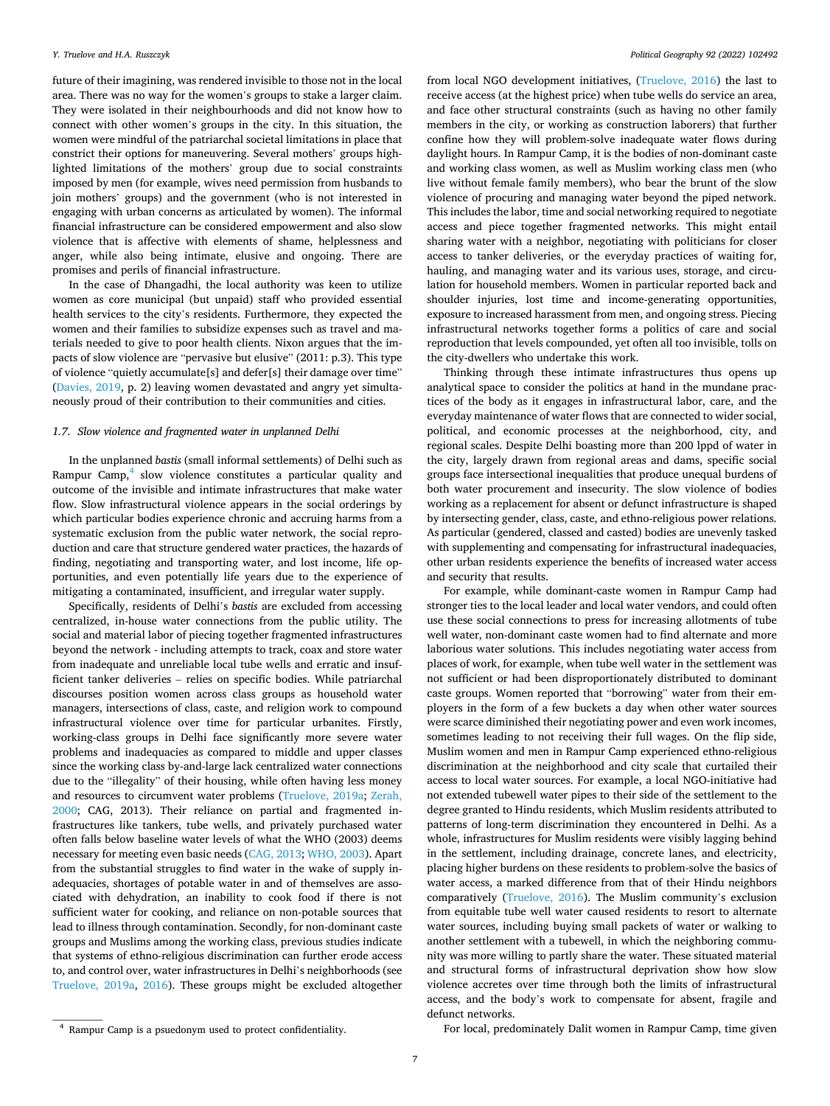future of their imagining, was rendered invisible to those not in the local area. There was no way for the women's groups to stake a larger claim. They were isolated in their neighbourhoods and did not know how to connect with other women's groups in the city. In this situation, the women were mindful of the patriarchal societal limitations in place that constrict their options for maneuvering. Several mothers' groups highlighted limitations of the mothers' group due to social constraints imposed by men (for example, wives need permission from husbands to join mothers' groups) and the government (who is not interested in engaging with urban concerns as articulated by women). The informal financial infrastructure can be considered empowerment and also slow violence that is affective with elements of shame, helplessness and anger, while also being intimate, elusive and ongoing. There are promises and perils of financial infrastructure.

In the case of Dhangadhi, the local authority was keen to utilize women as core municipal (but unpaid) staff who provided essential health services to the city's residents. Furthermore, they expected the women and their families to subsidize expenses such as travel and materials needed to give to poor health clients. Nixon argues that the impacts of slow violence are "pervasive but elusive" (2011: p.3). This type of violence "quietly accumulate[s] and defer[s] their damage over time" ([Davies, 2019,](#page-9-0) p. 2) leaving women devastated and angry yet simultaneously proud of their contribution to their communities and cities.

#### *1.7. Slow violence and fragmented water in unplanned Delhi*

In the unplanned *bastis* (small informal settlements) of Delhi such as Rampur Camp, $4$  slow violence constitutes a particular quality and outcome of the invisible and intimate infrastructures that make water flow. Slow infrastructural violence appears in the social orderings by which particular bodies experience chronic and accruing harms from a systematic exclusion from the public water network, the social reproduction and care that structure gendered water practices, the hazards of finding, negotiating and transporting water, and lost income, life opportunities, and even potentially life years due to the experience of mitigating a contaminated, insufficient, and irregular water supply.

Specifically, residents of Delhi's *bastis* are excluded from accessing centralized, in-house water connections from the public utility. The social and material labor of piecing together fragmented infrastructures beyond the network - including attempts to track, coax and store water from inadequate and unreliable local tube wells and erratic and insufficient tanker deliveries – relies on specific bodies. While patriarchal discourses position women across class groups as household water managers, intersections of class, caste, and religion work to compound infrastructural violence over time for particular urbanites. Firstly, working-class groups in Delhi face significantly more severe water problems and inadequacies as compared to middle and upper classes since the working class by-and-large lack centralized water connections due to the "illegality" of their housing, while often having less money and resources to circumvent water problems ([Truelove, 2019a](#page-10-0); [Zerah,](#page-10-0)  [2000;](#page-10-0) CAG, 2013). Their reliance on partial and fragmented infrastructures like tankers, tube wells, and privately purchased water often falls below baseline water levels of what the WHO (2003) deems necessary for meeting even basic needs ([CAG, 2013;](#page-9-0) [WHO, 2003\)](#page-10-0). Apart from the substantial struggles to find water in the wake of supply inadequacies, shortages of potable water in and of themselves are associated with dehydration, an inability to cook food if there is not sufficient water for cooking, and reliance on non-potable sources that lead to illness through contamination. Secondly, for non-dominant caste groups and Muslims among the working class, previous studies indicate that systems of ethno-religious discrimination can further erode access to, and control over, water infrastructures in Delhi's neighborhoods (see [Truelove, 2019a,](#page-10-0) [2016\)](#page-10-0). These groups might be excluded altogether

from local NGO development initiatives, ([Truelove, 2016](#page-10-0)) the last to receive access (at the highest price) when tube wells do service an area, and face other structural constraints (such as having no other family members in the city, or working as construction laborers) that further confine how they will problem-solve inadequate water flows during daylight hours. In Rampur Camp, it is the bodies of non-dominant caste and working class women, as well as Muslim working class men (who live without female family members), who bear the brunt of the slow violence of procuring and managing water beyond the piped network. This includes the labor, time and social networking required to negotiate access and piece together fragmented networks. This might entail sharing water with a neighbor, negotiating with politicians for closer access to tanker deliveries, or the everyday practices of waiting for, hauling, and managing water and its various uses, storage, and circulation for household members. Women in particular reported back and shoulder injuries, lost time and income-generating opportunities, exposure to increased harassment from men, and ongoing stress. Piecing infrastructural networks together forms a politics of care and social reproduction that levels compounded, yet often all too invisible, tolls on the city-dwellers who undertake this work.

Thinking through these intimate infrastructures thus opens up analytical space to consider the politics at hand in the mundane practices of the body as it engages in infrastructural labor, care, and the everyday maintenance of water flows that are connected to wider social, political, and economic processes at the neighborhood, city, and regional scales. Despite Delhi boasting more than 200 lppd of water in the city, largely drawn from regional areas and dams, specific social groups face intersectional inequalities that produce unequal burdens of both water procurement and insecurity. The slow violence of bodies working as a replacement for absent or defunct infrastructure is shaped by intersecting gender, class, caste, and ethno-religious power relations. As particular (gendered, classed and casted) bodies are unevenly tasked with supplementing and compensating for infrastructural inadequacies, other urban residents experience the benefits of increased water access and security that results.

For example, while dominant-caste women in Rampur Camp had stronger ties to the local leader and local water vendors, and could often use these social connections to press for increasing allotments of tube well water, non-dominant caste women had to find alternate and more laborious water solutions. This includes negotiating water access from places of work, for example, when tube well water in the settlement was not sufficient or had been disproportionately distributed to dominant caste groups. Women reported that "borrowing" water from their employers in the form of a few buckets a day when other water sources were scarce diminished their negotiating power and even work incomes, sometimes leading to not receiving their full wages. On the flip side, Muslim women and men in Rampur Camp experienced ethno-religious discrimination at the neighborhood and city scale that curtailed their access to local water sources. For example, a local NGO-initiative had not extended tubewell water pipes to their side of the settlement to the degree granted to Hindu residents, which Muslim residents attributed to patterns of long-term discrimination they encountered in Delhi. As a whole, infrastructures for Muslim residents were visibly lagging behind in the settlement, including drainage, concrete lanes, and electricity, placing higher burdens on these residents to problem-solve the basics of water access, a marked difference from that of their Hindu neighbors comparatively ([Truelove, 2016\)](#page-10-0). The Muslim community's exclusion from equitable tube well water caused residents to resort to alternate water sources, including buying small packets of water or walking to another settlement with a tubewell, in which the neighboring community was more willing to partly share the water. These situated material and structural forms of infrastructural deprivation show how slow violence accretes over time through both the limits of infrastructural access, and the body's work to compensate for absent, fragile and defunct networks.

For local, predominately Dalit women in Rampur Camp, time given 4 Rampur Camp is a psuedonym used to protect confidentiality.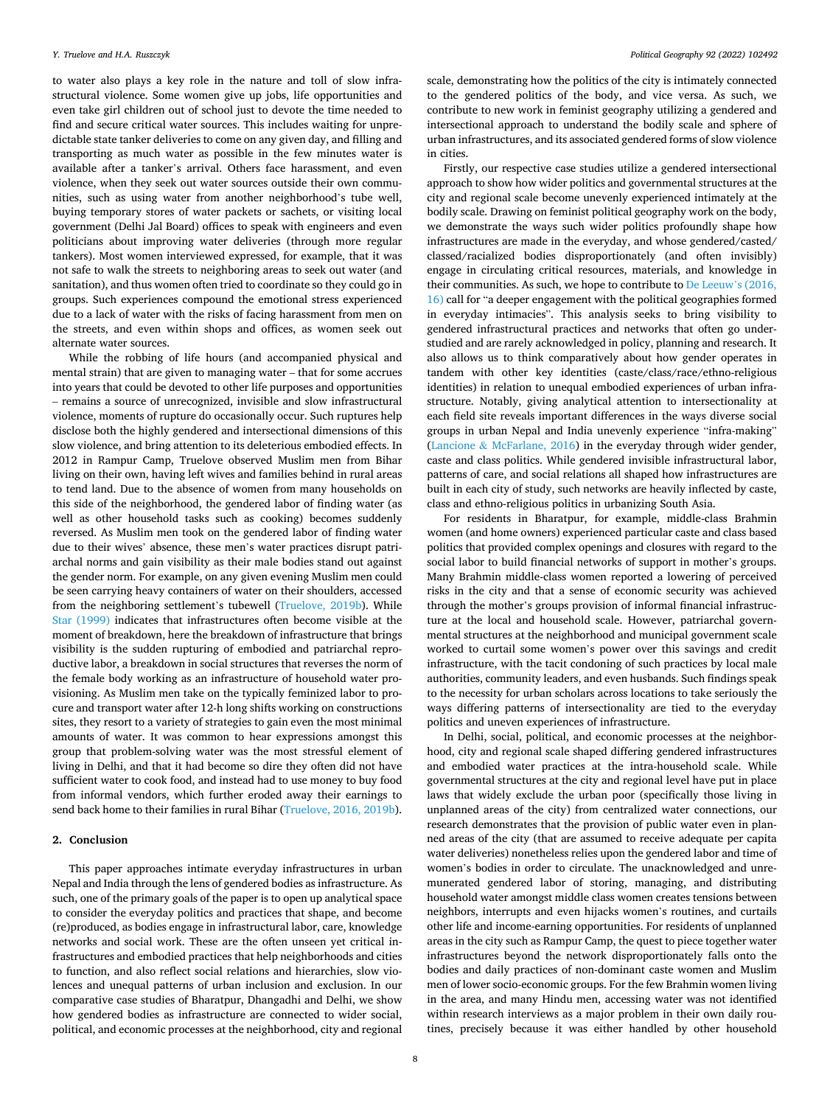to water also plays a key role in the nature and toll of slow infrastructural violence. Some women give up jobs, life opportunities and even take girl children out of school just to devote the time needed to find and secure critical water sources. This includes waiting for unpredictable state tanker deliveries to come on any given day, and filling and transporting as much water as possible in the few minutes water is available after a tanker's arrival. Others face harassment, and even violence, when they seek out water sources outside their own communities, such as using water from another neighborhood's tube well, buying temporary stores of water packets or sachets, or visiting local government (Delhi Jal Board) offices to speak with engineers and even politicians about improving water deliveries (through more regular tankers). Most women interviewed expressed, for example, that it was not safe to walk the streets to neighboring areas to seek out water (and sanitation), and thus women often tried to coordinate so they could go in groups. Such experiences compound the emotional stress experienced due to a lack of water with the risks of facing harassment from men on the streets, and even within shops and offices, as women seek out alternate water sources.

While the robbing of life hours (and accompanied physical and mental strain) that are given to managing water – that for some accrues into years that could be devoted to other life purposes and opportunities – remains a source of unrecognized, invisible and slow infrastructural violence, moments of rupture do occasionally occur. Such ruptures help disclose both the highly gendered and intersectional dimensions of this slow violence, and bring attention to its deleterious embodied effects. In 2012 in Rampur Camp, Truelove observed Muslim men from Bihar living on their own, having left wives and families behind in rural areas to tend land. Due to the absence of women from many households on this side of the neighborhood, the gendered labor of finding water (as well as other household tasks such as cooking) becomes suddenly reversed. As Muslim men took on the gendered labor of finding water due to their wives' absence, these men's water practices disrupt patriarchal norms and gain visibility as their male bodies stand out against the gender norm. For example, on any given evening Muslim men could be seen carrying heavy containers of water on their shoulders, accessed from the neighboring settlement's tubewell [\(Truelove, 2019b](#page-10-0)). While [Star \(1999\)](#page-10-0) indicates that infrastructures often become visible at the moment of breakdown, here the breakdown of infrastructure that brings visibility is the sudden rupturing of embodied and patriarchal reproductive labor, a breakdown in social structures that reverses the norm of the female body working as an infrastructure of household water provisioning. As Muslim men take on the typically feminized labor to procure and transport water after 12-h long shifts working on constructions sites, they resort to a variety of strategies to gain even the most minimal amounts of water. It was common to hear expressions amongst this group that problem-solving water was the most stressful element of living in Delhi, and that it had become so dire they often did not have sufficient water to cook food, and instead had to use money to buy food from informal vendors, which further eroded away their earnings to send back home to their families in rural Bihar ([Truelove, 2016, 2019b](#page-10-0)).

### **2. Conclusion**

This paper approaches intimate everyday infrastructures in urban Nepal and India through the lens of gendered bodies as infrastructure. As such, one of the primary goals of the paper is to open up analytical space to consider the everyday politics and practices that shape, and become (re)produced, as bodies engage in infrastructural labor, care, knowledge networks and social work. These are the often unseen yet critical infrastructures and embodied practices that help neighborhoods and cities to function, and also reflect social relations and hierarchies, slow violences and unequal patterns of urban inclusion and exclusion. In our comparative case studies of Bharatpur, Dhangadhi and Delhi, we show how gendered bodies as infrastructure are connected to wider social, political, and economic processes at the neighborhood, city and regional

scale, demonstrating how the politics of the city is intimately connected to the gendered politics of the body, and vice versa. As such, we contribute to new work in feminist geography utilizing a gendered and intersectional approach to understand the bodily scale and sphere of urban infrastructures, and its associated gendered forms of slow violence in cities.

Firstly, our respective case studies utilize a gendered intersectional approach to show how wider politics and governmental structures at the city and regional scale become unevenly experienced intimately at the bodily scale. Drawing on feminist political geography work on the body, we demonstrate the ways such wider politics profoundly shape how infrastructures are made in the everyday, and whose gendered/casted/ classed/racialized bodies disproportionately (and often invisibly) engage in circulating critical resources, materials, and knowledge in their communities. As such, we hope to contribute to [De Leeuw](#page-9-0)'s (2016, [16\)](#page-9-0) call for "a deeper engagement with the political geographies formed in everyday intimacies". This analysis seeks to bring visibility to gendered infrastructural practices and networks that often go understudied and are rarely acknowledged in policy, planning and research. It also allows us to think comparatively about how gender operates in tandem with other key identities (caste/class/race/ethno-religious identities) in relation to unequal embodied experiences of urban infrastructure. Notably, giving analytical attention to intersectionality at each field site reveals important differences in the ways diverse social groups in urban Nepal and India unevenly experience "infra-making" (Lancione & [McFarlane, 2016](#page-9-0)) in the everyday through wider gender, caste and class politics. While gendered invisible infrastructural labor, patterns of care, and social relations all shaped how infrastructures are built in each city of study, such networks are heavily inflected by caste, class and ethno-religious politics in urbanizing South Asia.

For residents in Bharatpur, for example, middle-class Brahmin women (and home owners) experienced particular caste and class based politics that provided complex openings and closures with regard to the social labor to build financial networks of support in mother's groups. Many Brahmin middle-class women reported a lowering of perceived risks in the city and that a sense of economic security was achieved through the mother's groups provision of informal financial infrastructure at the local and household scale. However, patriarchal governmental structures at the neighborhood and municipal government scale worked to curtail some women's power over this savings and credit infrastructure, with the tacit condoning of such practices by local male authorities, community leaders, and even husbands. Such findings speak to the necessity for urban scholars across locations to take seriously the ways differing patterns of intersectionality are tied to the everyday politics and uneven experiences of infrastructure.

In Delhi, social, political, and economic processes at the neighborhood, city and regional scale shaped differing gendered infrastructures and embodied water practices at the intra-household scale. While governmental structures at the city and regional level have put in place laws that widely exclude the urban poor (specifically those living in unplanned areas of the city) from centralized water connections, our research demonstrates that the provision of public water even in planned areas of the city (that are assumed to receive adequate per capita water deliveries) nonetheless relies upon the gendered labor and time of women's bodies in order to circulate. The unacknowledged and unremunerated gendered labor of storing, managing, and distributing household water amongst middle class women creates tensions between neighbors, interrupts and even hijacks women's routines, and curtails other life and income-earning opportunities. For residents of unplanned areas in the city such as Rampur Camp, the quest to piece together water infrastructures beyond the network disproportionately falls onto the bodies and daily practices of non-dominant caste women and Muslim men of lower socio-economic groups. For the few Brahmin women living in the area, and many Hindu men, accessing water was not identified within research interviews as a major problem in their own daily routines, precisely because it was either handled by other household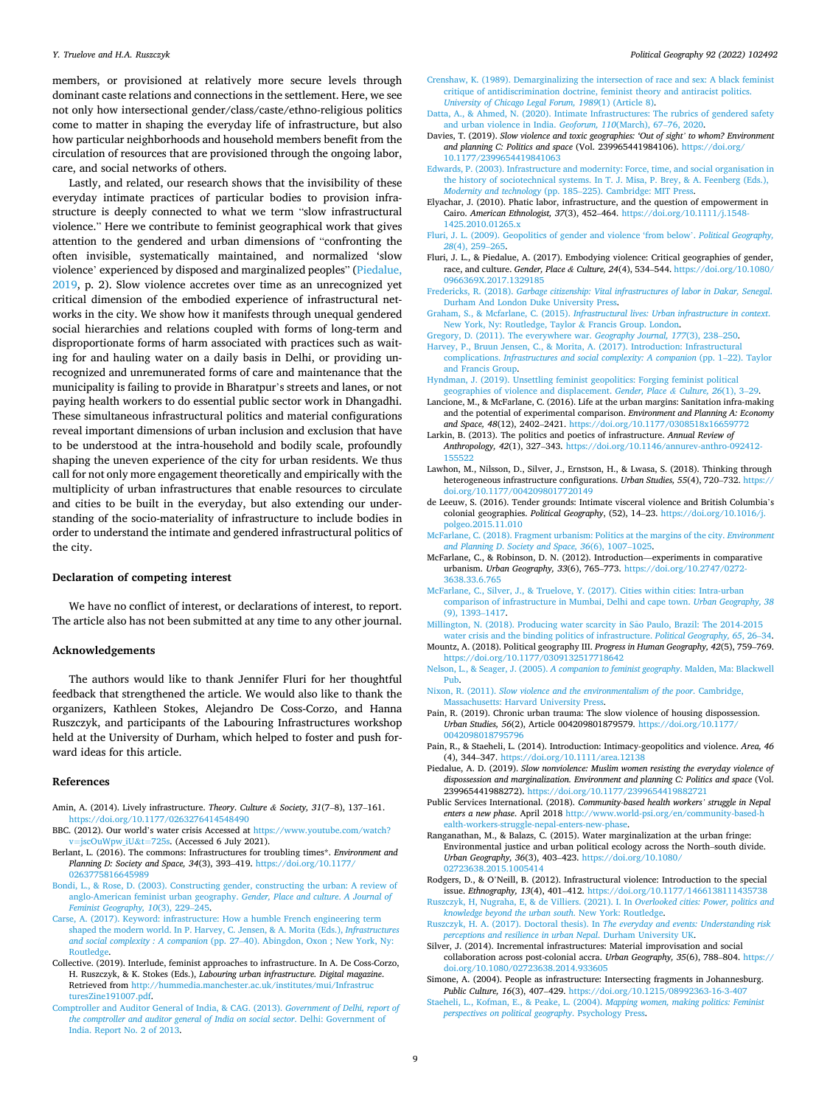#### <span id="page-9-0"></span>*Y. Truelove and H.A. Ruszczyk*

members, or provisioned at relatively more secure levels through dominant caste relations and connections in the settlement. Here, we see not only how intersectional gender/class/caste/ethno-religious politics come to matter in shaping the everyday life of infrastructure, but also how particular neighborhoods and household members benefit from the circulation of resources that are provisioned through the ongoing labor, care, and social networks of others.

Lastly, and related, our research shows that the invisibility of these everyday intimate practices of particular bodies to provision infrastructure is deeply connected to what we term "slow infrastructural violence." Here we contribute to feminist geographical work that gives attention to the gendered and urban dimensions of "confronting the often invisible, systematically maintained, and normalized 'slow violence' experienced by disposed and marginalized peoples" (Piedalue, 2019, p. 2). Slow violence accretes over time as an unrecognized yet critical dimension of the embodied experience of infrastructural networks in the city. We show how it manifests through unequal gendered social hierarchies and relations coupled with forms of long-term and disproportionate forms of harm associated with practices such as waiting for and hauling water on a daily basis in Delhi, or providing unrecognized and unremunerated forms of care and maintenance that the municipality is failing to provide in Bharatpur's streets and lanes, or not paying health workers to do essential public sector work in Dhangadhi. These simultaneous infrastructural politics and material configurations reveal important dimensions of urban inclusion and exclusion that have to be understood at the intra-household and bodily scale, profoundly shaping the uneven experience of the city for urban residents. We thus call for not only more engagement theoretically and empirically with the multiplicity of urban infrastructures that enable resources to circulate and cities to be built in the everyday, but also extending our understanding of the socio-materiality of infrastructure to include bodies in order to understand the intimate and gendered infrastructural politics of the city.

#### **Declaration of competing interest**

We have no conflict of interest, or declarations of interest, to report. The article also has not been submitted at any time to any other journal.

#### **Acknowledgements**

The authors would like to thank Jennifer Fluri for her thoughtful feedback that strengthened the article. We would also like to thank the organizers, Kathleen Stokes, Alejandro De Coss-Corzo, and Hanna Ruszczyk, and participants of the Labouring Infrastructures workshop held at the University of Durham, which helped to foster and push forward ideas for this article.

#### **References**

- Amin, A. (2014). Lively infrastructure. *Theory*. *Culture & Society, 31*(7–8), 137–161. <https://doi.org/10.1177/0263276414548490>
- BBC. (2012). Our world's water crisis Accessed at [https://www.youtube.com/watch?](https://www.youtube.com/watch?v=jscOuWpw_iU&t=725s)   $v = jsc$ OuWpw\_iU&t=725s. (Accessed 6 July 2021).
- Berlant, L. (2016). The commons: Infrastructures for troubling times\*. *Environment and Planning D: Society and Space, 34*(3), 393–419. [https://doi.org/10.1177/](https://doi.org/10.1177/0263775816645989) [0263775816645989](https://doi.org/10.1177/0263775816645989)
- [Bondi, L., & Rose, D. \(2003\). Constructing gender, constructing the urban: A review of](http://refhub.elsevier.com/S0962-6298(21)00152-9/sref6) [anglo-American feminist urban geography.](http://refhub.elsevier.com/S0962-6298(21)00152-9/sref6) *Gender, Place and culture*. *A Journal of [Feminist Geography, 10](http://refhub.elsevier.com/S0962-6298(21)00152-9/sref6)*(3), 229–245.
- [Carse, A. \(2017\). Keyword: infrastructure: How a humble French engineering term](http://refhub.elsevier.com/S0962-6298(21)00152-9/sref7)  [shaped the modern world. In P. Harvey, C. Jensen, & A. Morita \(Eds.\),](http://refhub.elsevier.com/S0962-6298(21)00152-9/sref7) *Infrastructures and social complexity : A companion* (pp. 27–[40\). Abingdon, Oxon ; New York, Ny:](http://refhub.elsevier.com/S0962-6298(21)00152-9/sref7)  **[Routledge](http://refhub.elsevier.com/S0962-6298(21)00152-9/sref7)**
- Collective. (2019). Interlude, feminist approaches to infrastructure. In A. De Coss-Corzo, H. Ruszczyk, & K. Stokes (Eds.), *Labouring urban infrastructure. Digital magazine*. Retrieved from [http://hummedia.manchester.ac.uk/institutes/mui/Infrastruc](http://hummedia.manchester.ac.uk/institutes/mui/InfrastructuresZine191007.pdf) [turesZine191007.pdf](http://hummedia.manchester.ac.uk/institutes/mui/InfrastructuresZine191007.pdf).
- [Comptroller and Auditor General of India, & CAG. \(2013\).](http://refhub.elsevier.com/S0962-6298(21)00152-9/sref9) *Government of Delhi, report of [the comptroller and auditor general of India on social sector](http://refhub.elsevier.com/S0962-6298(21)00152-9/sref9)*. Delhi: Government of [India. Report No. 2 of 2013.](http://refhub.elsevier.com/S0962-6298(21)00152-9/sref9)
- [Crenshaw, K. \(1989\). Demarginalizing the intersection of race and sex: A black feminist](http://refhub.elsevier.com/S0962-6298(21)00152-9/sref10)  [critique of antidiscrimination doctrine, feminist theory and antiracist politics.](http://refhub.elsevier.com/S0962-6298(21)00152-9/sref10)
- *[University of Chicago Legal Forum, 1989](http://refhub.elsevier.com/S0962-6298(21)00152-9/sref10)*(1) (Article 8). [Datta, A., & Ahmed, N. \(2020\). Intimate Infrastructures: The rubrics of gendered safety](http://refhub.elsevier.com/S0962-6298(21)00152-9/sref11)  [and urban violence in India.](http://refhub.elsevier.com/S0962-6298(21)00152-9/sref11) *Geoforum, 110*(March), 67–76, 2020.
- Davies, T. (2019). *Slow violence and toxic geographies: 'Out of sight' to whom? Environment and planning C: Politics and space* (Vol. 239965441984106). [https://doi.org/](https://doi.org/10.1177/2399654419841063)  [10.1177/2399654419841063](https://doi.org/10.1177/2399654419841063)
- [Edwards, P. \(2003\). Infrastructure and modernity: Force, time, and social organisation in](http://refhub.elsevier.com/S0962-6298(21)00152-9/sref13)  [the history of sociotechnical systems. In T. J. Misa, P. Brey, & A. Feenberg \(Eds.\),](http://refhub.elsevier.com/S0962-6298(21)00152-9/sref13)  *Modernity and technology* (pp. 185–[225\). Cambridge: MIT Press.](http://refhub.elsevier.com/S0962-6298(21)00152-9/sref13)
- Elyachar, J. (2010). Phatic labor, infrastructure, and the question of empowerment in Cairo. *American Ethnologist, 37*(3), 452–464. [https://doi.org/10.1111/j.1548-](https://doi.org/10.1111/j.1548-1425.2010.01265.x) [1425.2010.01265.x](https://doi.org/10.1111/j.1548-1425.2010.01265.x)
- [Fluri, J. L. \(2009\). Geopolitics of gender and violence 'from below](http://refhub.elsevier.com/S0962-6298(21)00152-9/sref15)'. *Political Geography, 28*[\(4\), 259](http://refhub.elsevier.com/S0962-6298(21)00152-9/sref15)–265.
- Fluri, J. L., & Piedalue, A. (2017). Embodying violence: Critical geographies of gender, race, and culture. *Gender, Place & Culture, 24*(4), 534–544. [https://doi.org/10.1080/](https://doi.org/10.1080/0966369X.2017.1329185)  [0966369X.2017.1329185](https://doi.org/10.1080/0966369X.2017.1329185)
- Fredericks, R. (2018). *[Garbage citizenship: Vital infrastructures of labor in Dakar, Senegal](http://refhub.elsevier.com/S0962-6298(21)00152-9/sref17)*. [Durham And London Duke University Press.](http://refhub.elsevier.com/S0962-6298(21)00152-9/sref17)
- Graham, S., & Mcfarlane, C. (2015). *[Infrastructural lives: Urban infrastructure in context](http://refhub.elsevier.com/S0962-6298(21)00152-9/sref19)*. [New York, Ny: Routledge, Taylor](http://refhub.elsevier.com/S0962-6298(21)00152-9/sref19) & Francis Group. London.
- [Gregory, D. \(2011\). The everywhere war.](http://refhub.elsevier.com/S0962-6298(21)00152-9/sref20) *Geography Journal, 177*(3), 238–250. [Harvey, P., Bruun Jensen, C., & Morita, A. \(2017\). Introduction: Infrastructural](http://refhub.elsevier.com/S0962-6298(21)00152-9/sref21)  complications. *Infrastructures and social complexity: A companion* (pp. 1–22). Taylor
- [and Francis Group](http://refhub.elsevier.com/S0962-6298(21)00152-9/sref21). [Hyndman, J. \(2019\). Unsettling feminist geopolitics: Forging feminist political](http://refhub.elsevier.com/S0962-6298(21)00152-9/sref22)
- [geographies of violence and displacement.](http://refhub.elsevier.com/S0962-6298(21)00152-9/sref22) *Gender, Place & Culture, 26*(1), 3–29.
- Lancione, M., & McFarlane, C. (2016). Life at the urban margins: Sanitation infra-making and the potential of experimental comparison. *Environment and Planning A: Economy and Space, 48*(12), 2402–2421. <https://doi.org/10.1177/0308518x16659772>
- Larkin, B. (2013). The politics and poetics of infrastructure. *Annual Review of Anthropology, 42*(1), 327–343. [https://doi.org/10.1146/annurev-anthro-092412-](https://doi.org/10.1146/annurev-anthro-092412-155522) [155522](https://doi.org/10.1146/annurev-anthro-092412-155522)
- Lawhon, M., Nilsson, D., Silver, J., Ernstson, H., & Lwasa, S. (2018). Thinking through heterogeneous infrastructure configurations. *Urban Studies, 55*(4), 720–732. [https://](https://doi.org/10.1177/0042098017720149)  [doi.org/10.1177/0042098017720149](https://doi.org/10.1177/0042098017720149)
- de Leeuw, S. (2016). Tender grounds: Intimate visceral violence and British Columbia's colonial geographies. *Political Geography*, (52), 14–23. [https://doi.org/10.1016/j.](https://doi.org/10.1016/j.polgeo.2015.11.010)  [polgeo.2015.11.010](https://doi.org/10.1016/j.polgeo.2015.11.010)
- [McFarlane, C. \(2018\). Fragment urbanism: Politics at the margins of the city.](http://refhub.elsevier.com/S0962-6298(21)00152-9/opt4ZTGS5q8Xe) *Environment and Planning D*. *[Society and Space, 36](http://refhub.elsevier.com/S0962-6298(21)00152-9/opt4ZTGS5q8Xe)*(6), 1007–1025.
- McFarlane, C., & Robinson, D. N. (2012). Introduction—experiments in comparative urbanism. *Urban Geography, 33*(6), 765–773. [https://doi.org/10.2747/0272-](https://doi.org/10.2747/0272-3638.33.6.765) [3638.33.6.765](https://doi.org/10.2747/0272-3638.33.6.765)
- [McFarlane, C., Silver, J., & Truelove, Y. \(2017\). Cities within cities: Intra-urban](http://refhub.elsevier.com/S0962-6298(21)00152-9/sref28) [comparison of infrastructure in Mumbai, Delhi and cape town.](http://refhub.elsevier.com/S0962-6298(21)00152-9/sref28) *Urban Geography, 38*  [\(9\), 1393](http://refhub.elsevier.com/S0962-6298(21)00152-9/sref28)–1417.
- [Millington, N. \(2018\). Producing water scarcity in S](http://refhub.elsevier.com/S0962-6298(21)00152-9/sref29)ão Paulo, Brazil: The 2014-2015 [water crisis and the binding politics of infrastructure.](http://refhub.elsevier.com/S0962-6298(21)00152-9/sref29) *Political Geography, 65*, 26–34.
- Mountz, A. (2018). Political geography III. *Progress in Human Geography, 42*(5), 759–769. <https://doi.org/10.1177/0309132517718642>
- Nelson, L., & Seager, J. (2005). *[A companion to feminist geography](http://refhub.elsevier.com/S0962-6298(21)00152-9/sref31)*. Malden, Ma: Blackwell [Pub](http://refhub.elsevier.com/S0962-6298(21)00152-9/sref31).
- Nixon, R. (2011). *[Slow violence and the environmentalism of the poor](http://refhub.elsevier.com/S0962-6298(21)00152-9/sref32)*. Cambridge, [Massachusetts: Harvard University Press](http://refhub.elsevier.com/S0962-6298(21)00152-9/sref32).
- Pain, R. (2019). Chronic urban trauma: The slow violence of housing dispossession. *Urban Studies, 56*(2), Article 004209801879579. [https://doi.org/10.1177/](https://doi.org/10.1177/0042098018795796) 0042098018795796
- Pain, R., & Staeheli, L. (2014). Introduction: Intimacy-geopolitics and violence. *Area, 46*  (4), 344–347.<https://doi.org/10.1111/area.12138>
- Piedalue, A. D. (2019). *Slow nonviolence: Muslim women resisting the everyday violence of dispossession and marginalization. Environment and planning C: Politics and space* (Vol. 239965441988272). <https://doi.org/10.1177/2399654419882721>
- Public Services International. (2018). *Community-based health workers' struggle in Nepal enters a new phase*. April 2018 [http://www.world-psi.org/en/community-based-h](http://www.world-psi.org/en/community-based-health-workers-struggle-nepal-enters-new-phase)  [ealth-workers-struggle-nepal-enters-new-phase](http://www.world-psi.org/en/community-based-health-workers-struggle-nepal-enters-new-phase).
- Ranganathan, M., & Balazs, C. (2015). Water marginalization at the urban fringe: Environmental justice and urban political ecology across the North–south divide. *Urban Geography, 36*(3), 403–423. [https://doi.org/10.1080/](https://doi.org/10.1080/02723638.2015.1005414)  [02723638.2015.1005414](https://doi.org/10.1080/02723638.2015.1005414)
- Rodgers, D., & O'Neill, B. (2012). Infrastructural violence: Introduction to the special issue. *Ethnography, 13*(4), 401–412. <https://doi.org/10.1177/1466138111435738>
- [Ruszczyk, H, Nugraha, E, & de Villiers. \(2021\). I. In](http://refhub.elsevier.com/S0962-6298(21)00152-9/optlBOjNAweGn) *Overlooked cities: Power, politics and [knowledge beyond the urban south](http://refhub.elsevier.com/S0962-6298(21)00152-9/optlBOjNAweGn)*. New York: Routledge.
- [Ruszczyk, H. A. \(2017\). Doctoral thesis\). In](http://refhub.elsevier.com/S0962-6298(21)00152-9/sref39) *The everyday and events: Understanding risk [perceptions and resilience in urban Nepal](http://refhub.elsevier.com/S0962-6298(21)00152-9/sref39)*. Durham University UK.
- Silver, J. (2014). Incremental infrastructures: Material improvisation and social collaboration across post-colonial accra. *Urban Geography, 35*(6), 788–804. [https://](https://doi.org/10.1080/02723638.2014.933605)  [doi.org/10.1080/02723638.2014.933605](https://doi.org/10.1080/02723638.2014.933605)
- Simone, A. (2004). People as infrastructure: Intersecting fragments in Johannesburg. *Public Culture, 16*(3), 407–429.<https://doi.org/10.1215/08992363-16-3-407>
- [Staeheli, L., Kofman, E., & Peake, L. \(2004\).](http://refhub.elsevier.com/S0962-6298(21)00152-9/sref42) *Mapping women, making politics: Feminist [perspectives on political geography](http://refhub.elsevier.com/S0962-6298(21)00152-9/sref42)*. Psychology Press.